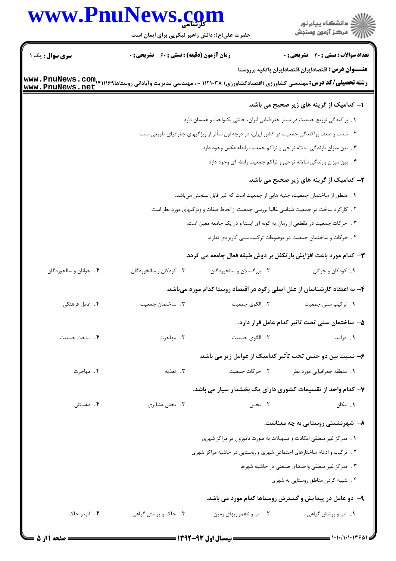# www.PnuNews.com

| www.PnuNews.com                                                                        | حضرت علی(ع): دانش راهبر نیکویی برای ایمان است                              |                           | ڪ دانشڪاه پيام نور<br>ر∕ آرمون وسنڊش                                                          |  |  |
|----------------------------------------------------------------------------------------|----------------------------------------------------------------------------|---------------------------|-----------------------------------------------------------------------------------------------|--|--|
| <b>سری سوال :</b> یک ۱                                                                 | <b>زمان آزمون (دقیقه) : تستی : 60 ٪ تشریحی : 0</b>                         |                           | <b>تعداد سوالات : تستی : 40 قشریحی : 0</b>                                                    |  |  |
|                                                                                        |                                                                            |                           | عنـــوان درس: اقتصادایران،اقتصادایران باتکیه برروستا                                          |  |  |
|                                                                                        |                                                                            |                           | ۱– کدامیک از گزینه های زیر صحیح می باشد.                                                      |  |  |
|                                                                                        |                                                                            |                           | 1. پراکندگی توزیع جمعیت در بستر جغرافیایی ایران، حالتی یکنواخت و همسان دارد.                  |  |  |
|                                                                                        |                                                                            |                           | ۲ . شدت و ضعف پراکندگی جمعیت در کشور ایران، در درجه اول متأثر از ویژگیهای جغرافیای طبیعی است. |  |  |
|                                                                                        |                                                                            |                           | ۰۳ بین میزان بارندگی سالانه نواحی و تراکم جمعیت رابطه عکس وجود دارد.                          |  |  |
|                                                                                        |                                                                            |                           | ۰۴ بین میزان بارندگی سالانه نواحی و تراکم جمعیت رابطه ای وجود دارد.                           |  |  |
|                                                                                        |                                                                            |                           | ۲- کدامیک از گزینه های زیر صحیح می باشد.                                                      |  |  |
|                                                                                        | 1. منظور از ساختمان جمعیت، جنبه هایی از جمعیت است که غیر قابل سنجش میباشد. |                           |                                                                                               |  |  |
| ۲ . کارکرد ساخت در جمعیت شناسی غالبا بررسی جمعیت از لحاظ صفات و ویژگیهای مورد نظر است. |                                                                            |                           |                                                                                               |  |  |
|                                                                                        |                                                                            |                           | ۰۳ مرکات جمعیت در مقطعی از زمان به گونه ای ایستا و در یک جامعه معین است.                      |  |  |
|                                                                                        |                                                                            |                           | ۰۴ جرکات و ساختمان جمعیت در موضوعات ترکیب سنی کاربردی ندارد.                                  |  |  |
|                                                                                        |                                                                            |                           | ۳- کدام مورد باعث افزایش بارتکفل بر دوش طبقه فعال جامعه می گردد.                              |  |  |
| ۴. جوانان و سالخوردگان                                                                 | ۰۳ کودکان و سالخوردگان                                                     | ٢. بزرگسالان و سالخوردگان | ٠١. كودكان وجوانان                                                                            |  |  |
|                                                                                        |                                                                            |                           | ۴- به اعتقاد کارشناسان از علل اصلی رکود در اقتصاد روستا کدام مورد میباشد.                     |  |  |
| ۴. عامل فرهنگی                                                                         | ۰۳ ساختمان جمعیت                                                           | ٢. الگوى جمعيت            | 1. تركيب سنى جمعيت                                                                            |  |  |
|                                                                                        |                                                                            |                           | ۵– ساختمان سنی تحت تاثیر کدام عامل قرار دارد.                                                 |  |  |
| ۴. ساخت جمعیت                                                                          | ۰۳ مهاجرت                                                                  | ٢. الگوى جمعيت            | ۰۱ درآمد                                                                                      |  |  |
|                                                                                        |                                                                            |                           | ۶– نسبت بین دو جنس تحت تأثیر کدامیک از عوامل زیر می باشد.                                     |  |  |
| ۰۴ مهاجرت                                                                              | ۰۳ تغذیه                                                                   | ٢. حركات جمعيت            | 1. منطقه جغرافيايي مورد نظر                                                                   |  |  |
|                                                                                        |                                                                            |                           | ۷– کدام واحد از تقسیمات کشوری دارای یک بخشدار سیار می باشد.                                   |  |  |
| ۴. دهستان                                                                              | ۰۳ بخش عشايري                                                              | ٢. بخش                    | ۰۱ مکان                                                                                       |  |  |
|                                                                                        |                                                                            |                           | ٨– شهرنشینی روستایی به چه معناست.                                                             |  |  |
|                                                                                        |                                                                            |                           | 1. تمركز غير منطقى امكانات و تسهيلات به صورت ناموزون در مراكز شهرى                            |  |  |
|                                                                                        |                                                                            |                           | ۲. ترکیب و ادغام ساختارهای اجتماعی شهری و روستایی در حاشیه مراکز شهری                         |  |  |
|                                                                                        |                                                                            |                           | ٢. تمركز غير منطقى واحدهاى صنعتى در حاشيه شهرها                                               |  |  |
|                                                                                        |                                                                            |                           | ۴. شبیه کردن مناطق روستایی به شهری                                                            |  |  |
|                                                                                        |                                                                            |                           | ۹- دو عامل در پیدایش و گسترش روستاها کدام مورد می باشد.                                       |  |  |
| ۰۴ آب و خاک                                                                            | ۰۳ خاک و پوشش گیاهی                                                        | ۲. آب و ناهمواریهای زمین  | ۰۱ آب و پوشش گیاهی                                                                            |  |  |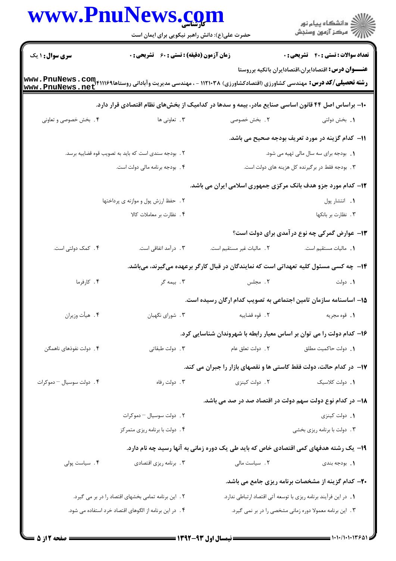|                                                     | www.PnuNews.com                                        |                                                                                                   | ِ<br>∭ دانشڪاه پيام نور<br>∭ مرڪز آزمون وسنڊش                                                        |
|-----------------------------------------------------|--------------------------------------------------------|---------------------------------------------------------------------------------------------------|------------------------------------------------------------------------------------------------------|
|                                                     | حضرت علی(ع): دانش راهبر نیکویی برای ایمان است          |                                                                                                   |                                                                                                      |
| <b>سری سوال : ۱ یک</b>                              | <b>زمان آزمون (دقیقه) : تستی : 60 ٪ تشریحی : 0</b>     |                                                                                                   | <b>تعداد سوالات : تستي : 40 - تشريحي : 0</b>                                                         |
| www.PnuNews.net                                     |                                                        |                                                                                                   | <b>عنـــوان درس:</b> اقتصادایران،اقتصادایران باتکیه برروستا                                          |
|                                                     |                                                        | ۱۰– براساس اصل ۴۴ قانون اساسی صنایع مادر، بیمه و سدها در کدامیک از بخشهای نظام اقتصادی قرار دارد. |                                                                                                      |
| ۰۴ بخش خصوصی و تعاونی                               | ۰۳ تعاونی ها                                           | ۰۲ بخش خصوصی                                                                                      | 1. بخش دولتى                                                                                         |
|                                                     |                                                        |                                                                                                   | 11– كدام گزينه در مورد تعريف بودجه صحيح مى باشد.                                                     |
|                                                     | ٢ . بودجه سندى است كه بايد به تصويب قوه قضاييه برسد.   |                                                                                                   | 1. بودجه برای سه سال مالی تهیه می شود.                                                               |
|                                                     | ۴. بودجه برنامه مالی دولت است.                         |                                                                                                   | ۳. بودجه فقط در برگیرنده کل هزینه های دولت است.                                                      |
|                                                     |                                                        | ۱۲- کدام مورد جزو هدف بانک مرکزی جمهوری اسلامی ایران می باشد.                                     |                                                                                                      |
| ٢. حفظ ارزش پول و موازنه ی پرداختها                 |                                                        |                                                                                                   | ٠١. انتشار پول                                                                                       |
|                                                     | ۴. نظارت بر معاملات کالا                               |                                                                                                   | ٠٣. نظارت بر بانكها                                                                                  |
|                                                     |                                                        |                                                                                                   | ۱۳– عوارض گمرکی چه نوع در آمدی برای دولت است؟                                                        |
| ۴. کمک دولتی است.                                   | ۰۳ درآمد اتفاقی است.                                   | ٢. ماليات غير مستقيم است.                                                                         | 1. ماليات مستقيم است.                                                                                |
|                                                     |                                                        | ۱۴– چه کسی مسئول کلیه تعهداتی است که نمایندگان در قبال کارگر برعهده میگیرند، میباشد.              |                                                                                                      |
| ۰۴ کارفرما                                          | ۰۳ بیمه گر                                             | ۲. مجلس                                                                                           | ۰۱ دولت                                                                                              |
|                                                     |                                                        | 1۵– اساسنامه سازمان تامین اجتماعی به تصویب کدام ارگان رسیده است.                                  |                                                                                                      |
| ۴. هيأت وزيران                                      | ۰۳ شورای نگهبان                                        |                                                                                                   |                                                                                                      |
|                                                     |                                                        | ۱۶– کدام دولت را می توان بر اساس معیار رابطه با شهروندان شناسایی کرد.                             |                                                                                                      |
| ۴. دولت نفوذهای ناهمگن                              | ۰۳ دولت طبقاتی                                         |                                                                                                   | 1. دولت حاكميت مطلق مسمع المجمع المعنى المعنى المعنى المعنى المعنى المعنى المعنى المعنى المعنى المعن |
|                                                     |                                                        | ۱۷- در کدام حالت، دولت فقط کاستی ها و نقصهای بازار را جبران می کند.                               |                                                                                                      |
| ۴. دولت سوسيال - دموكرات                            | ۰۳ دولت رفاه                                           | ۲. دولت کینزی                                                                                     | 1. دولت كلاسيك                                                                                       |
|                                                     |                                                        | <mark>۱۸</mark> – در کدام نوع دولت سهم دولت در اقتصاد صد در صد می باشد.                           |                                                                                                      |
|                                                     | ٢. دولت سوسيال - دموكرات                               |                                                                                                   | 1. دولت كينزى                                                                                        |
|                                                     | ۴. دولت با برنامه ریزی متمرکز                          |                                                                                                   | ۰۳ دولت با برنامه ریزی بخشی                                                                          |
|                                                     |                                                        | ۱۹- یک رشته هدفهای کمی اقتصادی خاص که باید طی یک دوره زمانی به آنها رسید چه نام دارد.             |                                                                                                      |
| ۴. سیاست پولی                                       | ۰۳ برنامه ریزی اقتصادی                                 | ٢. سياست مالى                                                                                     | <b>۱</b> . بودجه بندي                                                                                |
|                                                     |                                                        |                                                                                                   | <b>۲۰</b> - کدام گزینه از مشخصات برنامه ریزی جامع می باشد.                                           |
| ٢. این برنامه تمامی بخشهای اقتصاد را در بر می گیرد. |                                                        | ١. در اين فرآيند برنامه ريزي با توسعه آتي اقتصاد ارتباطي ندارد.                                   |                                                                                                      |
|                                                     | ۴. در این برنامه از الگوهای اقتصاد خرد استفاده می شود. |                                                                                                   | ۰۳ این برنامه معمولا دوره زمانی مشخصی را در بر نمی گیرد.                                             |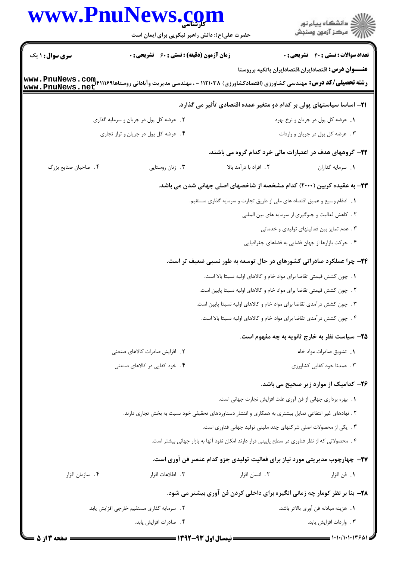|                        | www.PnuNews.com<br>حضرت علی(ع): دانش راهبر نیکویی برای ایمان است                                                                             |                                                                                                        | ڪ دانشڪاه پيام نور<br>پ <sup>ر</sup> مرڪز آزمون وسنڊش       |  |
|------------------------|----------------------------------------------------------------------------------------------------------------------------------------------|--------------------------------------------------------------------------------------------------------|-------------------------------------------------------------|--|
| <b>سری سوال : ۱ یک</b> | <b>زمان آزمون (دقیقه) : تستی : 60 ٪ تشریحی : 0</b>                                                                                           |                                                                                                        | <b>تعداد سوالات : تستی : 40 - تشریحی : 0</b>                |  |
|                        |                                                                                                                                              |                                                                                                        | <b>عنـــوان درس:</b> اقتصادایران،اقتصادایران باتکیه برروستا |  |
|                        | <b>رشته تحصیلی/کد درس:</b> مهندسی کشاورزی (اقتصادکشاورزی) ۱۱۲۱۰۳۸ - ، مهندسی مدیریت وآبادانی روستاها۹۴۱۱۱۶۹۱۴۴۳۳۰ Www<br>www . PnuNews . net |                                                                                                        |                                                             |  |
|                        |                                                                                                                                              | ۲۱– اساسا سیاستهای پولی بر کدام دو متغیر عمده اقتصادی تأثیر می گذارد.                                  |                                                             |  |
|                        | ۲. عرضه کل پول در جریان و سرمایه گذاری                                                                                                       |                                                                                                        | ١. عرضه كل پول در جريان و نرخ بهره                          |  |
|                        | ۴. عرضه کل پول در جریان و تراز تجاری                                                                                                         |                                                                                                        | ۰۳ مرضه کل پول در جریان و واردات                            |  |
|                        |                                                                                                                                              | ۲۲– گروههای هدف در اعتبارات مالی خرد کدام گروه می باشند.                                               |                                                             |  |
| ۴. صاحبان صنايع بزرگ   | ۰۳ زنان روستايي                                                                                                                              | ٢. افراد با درآمد بالا                                                                                 | 1. سرمايه گذاران                                            |  |
|                        | <b>۲۳</b> – به عقیده کربین (۲۰۰۰) کدام مشخصه از شاخصهای اصلی جهانی شدن می باشد.                                                              |                                                                                                        |                                                             |  |
|                        | 1. ادغام وسیع و عمیق اقتصاد های ملی از طریق تجارت و سرمایه گذاری مستقیم.                                                                     |                                                                                                        |                                                             |  |
|                        |                                                                                                                                              | ۲ . كاهش فعاليت و جلوگيري از سرمايه هاي بين المللي                                                     |                                                             |  |
|                        |                                                                                                                                              |                                                                                                        | ۰۳ مدم تمایز بین فعالیتهای تولیدی و خدماتی                  |  |
|                        |                                                                                                                                              |                                                                                                        | ۰۴ حرکت بازارها از جهان فضایی به فضاهای جغرافیایی           |  |
|                        |                                                                                                                                              | ۲۴- چرا عملکرد صادراتی کشورهای در حال توسعه به طور نسبی ضعیف تر است.                                   |                                                             |  |
|                        |                                                                                                                                              | ٠. چون کشش قیمتی تقاضا برای مواد خام و کالاهای اولیه نسبتا بالا است.                                   |                                                             |  |
|                        |                                                                                                                                              | ۲ . چون کشش قیمتی تقاضا برای مواد خام و کالاهای اولیه نسبتا پایین است.                                 |                                                             |  |
|                        |                                                                                                                                              | ۰۳ جون کشش درآمدی تقاضا برای مواد خام و کالاهای اولیه نسبتا پایین است.                                 |                                                             |  |
|                        |                                                                                                                                              | ۴. چون کشش درآمدی تقاضا برای مواد خام و کالاهای اولیه نسبتا بالا است.                                  |                                                             |  |
|                        |                                                                                                                                              |                                                                                                        | ۲۵– سیاست نظر به خارج ثانویه به چه مفهوم است.               |  |
|                        | ۲ . افزایش صادرات کالاهای صنعتی                                                                                                              |                                                                                                        | 1. تشويق صادرات مواد خام                                    |  |
|                        | ۰۴ خود کفایی در کالاهای صنعتی                                                                                                                |                                                                                                        | ۰۳ ممدتا خود کفایی کشاورزی                                  |  |
|                        |                                                                                                                                              |                                                                                                        | ۲۶– کدامیک از موارد زیر صحیح می باشد.                       |  |
|                        |                                                                                                                                              | 1. بهره برداري جهاني از فن آوري علت افزايش تجارت جهاني است.                                            |                                                             |  |
|                        |                                                                                                                                              | ۲ . نهادهای غیر انتفاعی تمایل بیشتری به همکاری و انتشار دستاوردهای تحقیقی خود نسبت به بخش تجاری دارند. |                                                             |  |
|                        |                                                                                                                                              | ۰۳ . یکی از محصولات اصلی شرکتهای چند ملیتی تولید جهانی فناوری است.                                     |                                                             |  |
|                        |                                                                                                                                              | ۰۴ محصولاتی که از نظر فناوری در سطح پایینی قرار دارند امکان نفوذ آنها به بازار جهانی بیشتر است.        |                                                             |  |
|                        |                                                                                                                                              | <b>۲۷</b> – چهارچوب مدیریتی مورد نیاز برای فعالیت تولیدی جزو کدام عنصر فن آوری است.                    |                                                             |  |
| ۰۴ سازمان افزار        | ۰۳ اطلاعات افزار                                                                                                                             | ۲. انسان افزار                                                                                         | ٠١. فن افزار                                                |  |
|                        |                                                                                                                                              | ۲۸- بنا بر نظر کومار چه زمانی انگیزه برای داخلی کردن فن آوری بیشتر می شود.                             |                                                             |  |
|                        | ٢ . سرمايه گذاري مستقيم خارجي افزايش يابد.                                                                                                   | 1. هزينه مبادله فن آوري بالاتر باشد.                                                                   |                                                             |  |
|                        | ۴ . صادرات افزايش يابد.                                                                                                                      |                                                                                                        | ٢. واردات افزايش يابد.                                      |  |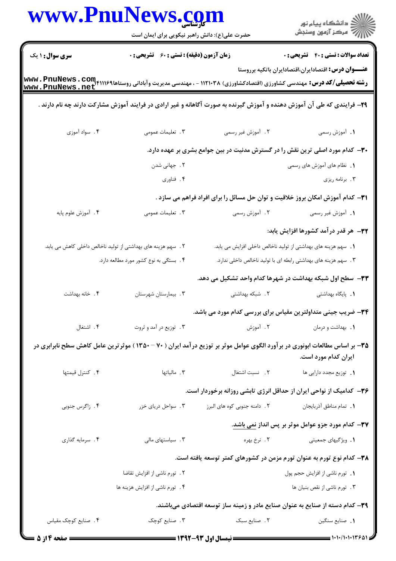| www.PnuNews.com        |                                                               |                                                                                                                                                |                                                                 |
|------------------------|---------------------------------------------------------------|------------------------------------------------------------------------------------------------------------------------------------------------|-----------------------------------------------------------------|
|                        | حضرت علی(ع): دانش راهبر نیکویی برای ایمان است                 |                                                                                                                                                |                                                                 |
| <b>سری سوال :</b> ۱ یک | زمان آزمون (دقیقه) : تستی : 60 ٪ تشریحی : 0                   |                                                                                                                                                | <b>تعداد سوالات : تستی : 40 - تشریحی : 0</b>                    |
|                        |                                                               | <b>رشته تحصیلی/کد درس:</b> مهندسی کشاورزی (اقتصادکشاورزی) ۱۱۲۱۰۳۸ - ، مهندسی مدیریت وآبادانی روستاها۱۱۱۶۹۴۱۱۴۹۴۴۰۰۰ www<br>www . PnuNews . net | <b>عنـــوان درس:</b> اقتصادایران،اقتصادایران باتکیه برروستا     |
|                        |                                                               | ۹۹– فرایندی که طی آن آموزش دهنده و آموزش گیرنده به صورت آگاهانه و غیر ارادی در فرایند آموزش مشارکت دارند چه نام دارند .                        |                                                                 |
| ۰۴ سواد آموزی          | ۰۳ تعلیمات عمومی                                              | ٢. آموزش غير رسمي                                                                                                                              | ١. أموزش رسمى                                                   |
|                        |                                                               | ۳۰- کدام مورد اصلی ترین نقش را در گسترش مدنیت در بین جوامع بشری بر عهده دارد.                                                                  |                                                                 |
|                        | ۰۲ جهانی شدن                                                  |                                                                                                                                                | <b>۱.</b> نظام های آموزش های رسمی                               |
|                        | ۴. فناوري                                                     |                                                                                                                                                | ۰۳ برنامه ریزی                                                  |
|                        |                                                               | <b>۳۱</b> – کدام آموزش امکان بروز خلاقیت و توان حل مسائل را برای افراد فراهم می سازد .                                                         |                                                                 |
| ۴. أموزش علوم پايه     | ۰۳. تعلیمات عمومی                                             | ۲. آموزش رسمی                                                                                                                                  | ۱. آموزش غیر رسمی                                               |
|                        |                                                               |                                                                                                                                                | ۳۲– هر قدر درآمد کشورها افزایش یابد:                            |
|                        | ۲ . سهم هزینه های بهداشتی از تولید ناخالص داخلی کاهش می یابد. |                                                                                                                                                | 1.  سهم هزینه های بهداشتی از تولید ناخالص داخلی افزایش می یابد. |
|                        | ۴. بستگی به نوع کشور مورد مطالعه دارد.                        |                                                                                                                                                | ۰۳ سهم هزینه های بهداشتی رابطه ای با تولید ناخالص داخلی ندارد.  |
|                        |                                                               | ۳۳– سطح اول شبکه بهداشت در شهرها کدام واحد تشکیل می دهد.                                                                                       |                                                                 |
| ۴. خانه بهداشت         | ۰۳ بیمارستان شهرستان                                          | ۲. شبکه بهداشتی                                                                                                                                | 1. پایگاه بهداشتی                                               |
|                        |                                                               | ۳۴- ضریب جینی متداولترین مقیاس برای بررسی کدام مورد می باشد.                                                                                   |                                                                 |
| ۴. اشتغال              | ۰۳ توزیع در آمد و ثروت                                        | ۲. آموزش                                                                                                                                       | <b>۱</b> . بهداشت و درمان                                       |
|                        |                                                               | ۳۵- بر اساس مطالعات ابونوری در برآورد الگوی عوامل موثر بر توزیع درآمد ایران ( ۷۰ - ۱۳۵۰ ) موثرترین عامل کاهش سطح نابرابری در                   | ایران کدام مورد است.                                            |
| ۴. كنترل قيمتها        | ا. مالياتها $\cdot$                                           | ٢. نسبت اشتغال                                                                                                                                 | <b>۱.</b> توزیع مجدد دارایی ها                                  |
|                        |                                                               | ۳۶– کدامیک از نواحی ایران از حداقل انرژی تابشی روزانه برخوردار است.                                                                            |                                                                 |
| ۴. زاگرس جنوبی         | ۰۳ سواحل دریای خزر                                            | ۲ . دامنه جنوبی کوه های البرز                                                                                                                  | 1. تمام مناطق أذربايجان                                         |
|                        |                                                               |                                                                                                                                                | ۳۷– کدام مورد جزو عوامل موثر بر پس انداز نمی باشد.              |
| ۴. سرمايه گذاري        | ۰۳ سیاستهای مالی                                              |                                                                                                                                                | <b>۱.</b> ویژگیهای جمعیتی مسلم ۲. نرخ بهره                      |
|                        |                                                               | ۳۸– کدام نوع تورم به عنوان تورم مزمن در کشورهای کمتر توسعه یافته است.                                                                          |                                                                 |
|                        | ٢ . تورم ناشي از افزايش تقاضا                                 |                                                                                                                                                | ٠١. تورم ناشي از افزايش حجم پول                                 |
|                        | ۴. تورم ناشی از افزایش هزینه ها                               |                                                                                                                                                | ۰۳ تورم ناشي از نقص بنيان ها                                    |
|                        |                                                               | ۳۹– کدام دسته از صنایع به عنوان صنایع مادر و زمینه ساز توسعه اقتصادی میباشند.                                                                  |                                                                 |
| ۴. صنایع کوچک مقیاس    | ۰۳ صنایع کوچک                                                 | ٢. صنايع سبک                                                                                                                                   | <b>١.</b> صنايع سنگين                                           |